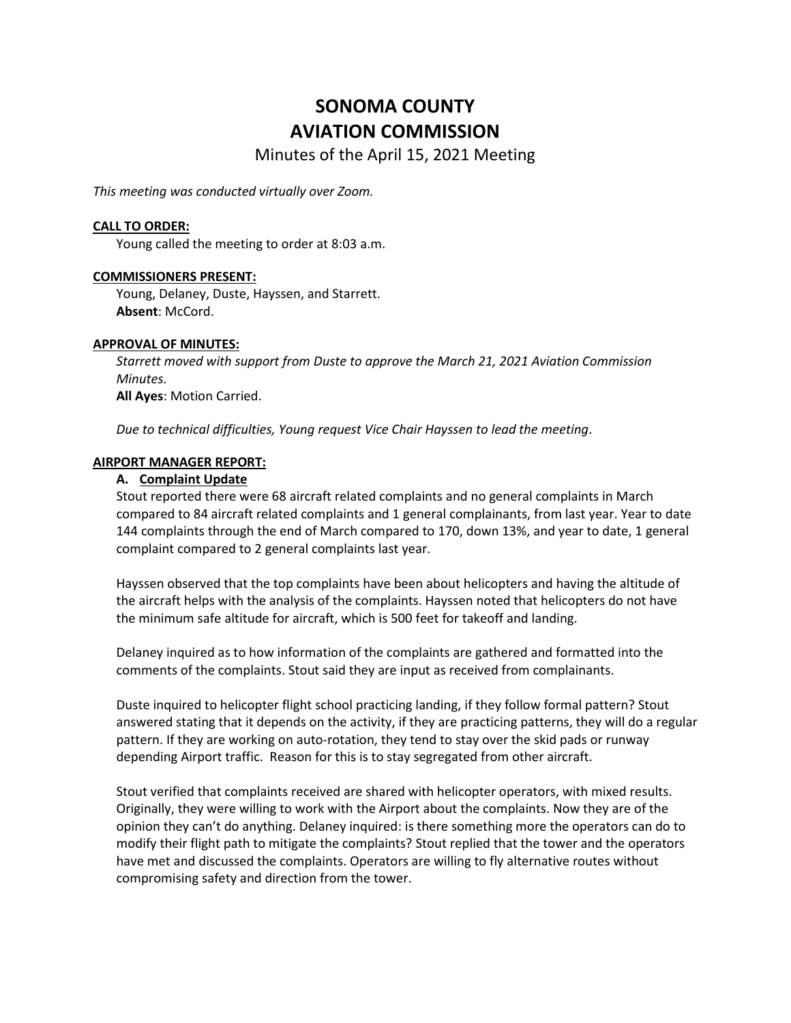# **SONOMA COUNTY AVIATION COMMISSION**

Minutes of the April 15, 2021 Meeting

*This meeting was conducted virtually over Zoom.*

## **CALL TO ORDER:**

Young called the meeting to order at 8:03 a.m.

#### **COMMISSIONERS PRESENT:**

Young, Delaney, Duste, Hayssen, and Starrett. **Absent**: McCord.

#### **APPROVAL OF MINUTES:**

*Starrett moved with support from Duste to approve the March 21, 2021 Aviation Commission Minutes.*  **All Ayes**: Motion Carried.

*Due to technical difficulties, Young request Vice Chair Hayssen to lead the meeting*.

#### **AIRPORT MANAGER REPORT:**

## **A. Complaint Update**

Stout reported there were 68 aircraft related complaints and no general complaints in March compared to 84 aircraft related complaints and 1 general complainants, from last year. Year to date 144 complaints through the end of March compared to 170, down 13%, and year to date, 1 general complaint compared to 2 general complaints last year.

Hayssen observed that the top complaints have been about helicopters and having the altitude of the aircraft helps with the analysis of the complaints. Hayssen noted that helicopters do not have the minimum safe altitude for aircraft, which is 500 feet for takeoff and landing.

Delaney inquired as to how information of the complaints are gathered and formatted into the comments of the complaints. Stout said they are input as received from complainants.

Duste inquired to helicopter flight school practicing landing, if they follow formal pattern? Stout answered stating that it depends on the activity, if they are practicing patterns, they will do a regular pattern. If they are working on auto-rotation, they tend to stay over the skid pads or runway depending Airport traffic. Reason for this is to stay segregated from other aircraft.

Stout verified that complaints received are shared with helicopter operators, with mixed results. Originally, they were willing to work with the Airport about the complaints. Now they are of the opinion they can't do anything. Delaney inquired: is there something more the operators can do to modify their flight path to mitigate the complaints? Stout replied that the tower and the operators have met and discussed the complaints. Operators are willing to fly alternative routes without compromising safety and direction from the tower.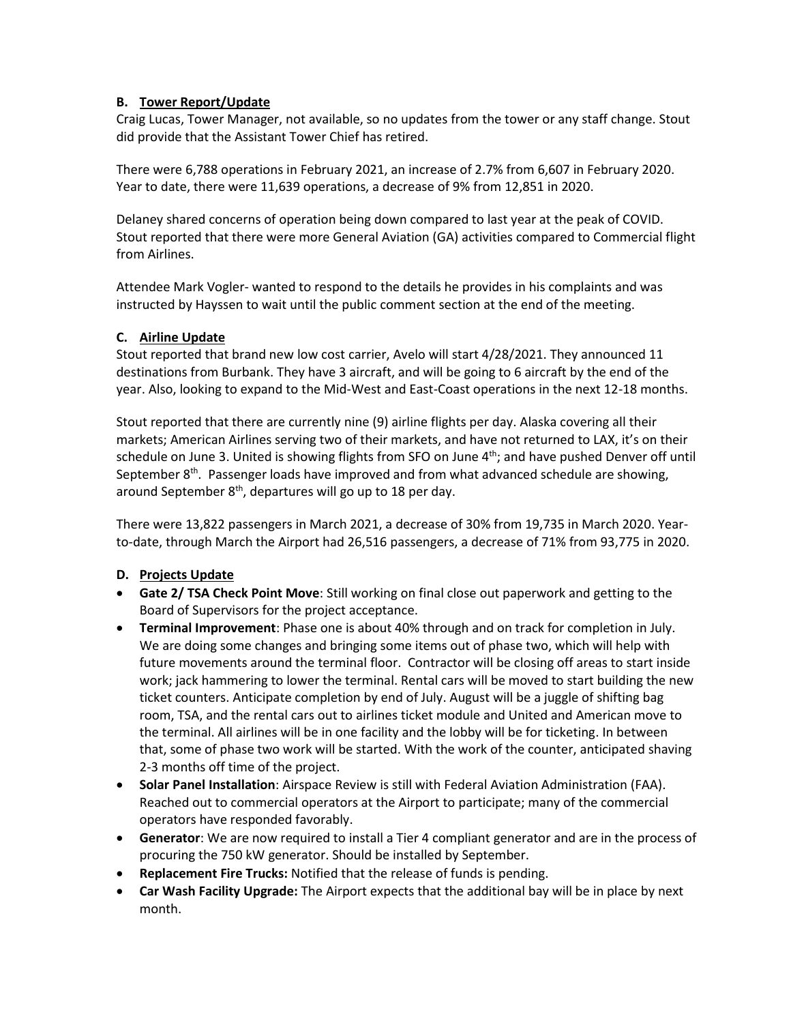# **B. Tower Report/Update**

Craig Lucas, Tower Manager, not available, so no updates from the tower or any staff change. Stout did provide that the Assistant Tower Chief has retired.

There were 6,788 operations in February 2021, an increase of 2.7% from 6,607 in February 2020. Year to date, there were 11,639 operations, a decrease of 9% from 12,851 in 2020.

Delaney shared concerns of operation being down compared to last year at the peak of COVID. Stout reported that there were more General Aviation (GA) activities compared to Commercial flight from Airlines.

Attendee Mark Vogler- wanted to respond to the details he provides in his complaints and was instructed by Hayssen to wait until the public comment section at the end of the meeting.

# **C. Airline Update**

Stout reported that brand new low cost carrier, Avelo will start 4/28/2021. They announced 11 destinations from Burbank. They have 3 aircraft, and will be going to 6 aircraft by the end of the year. Also, looking to expand to the Mid-West and East-Coast operations in the next 12-18 months.

Stout reported that there are currently nine (9) airline flights per day. Alaska covering all their markets; American Airlines serving two of their markets, and have not returned to LAX, it's on their schedule on June 3. United is showing flights from SFO on June  $4<sup>th</sup>$ ; and have pushed Denver off until September 8<sup>th</sup>. Passenger loads have improved and from what advanced schedule are showing, around September 8<sup>th</sup>, departures will go up to 18 per day.

There were 13,822 passengers in March 2021, a decrease of 30% from 19,735 in March 2020. Yearto-date, through March the Airport had 26,516 passengers, a decrease of 71% from 93,775 in 2020.

# **D. Projects Update**

- **Gate 2/ TSA Check Point Move**: Still working on final close out paperwork and getting to the Board of Supervisors for the project acceptance.
- **Terminal Improvement**: Phase one is about 40% through and on track for completion in July. We are doing some changes and bringing some items out of phase two, which will help with future movements around the terminal floor. Contractor will be closing off areas to start inside work; jack hammering to lower the terminal. Rental cars will be moved to start building the new ticket counters. Anticipate completion by end of July. August will be a juggle of shifting bag room, TSA, and the rental cars out to airlines ticket module and United and American move to the terminal. All airlines will be in one facility and the lobby will be for ticketing. In between that, some of phase two work will be started. With the work of the counter, anticipated shaving 2-3 months off time of the project.
- **Solar Panel Installation**: Airspace Review is still with Federal Aviation Administration (FAA). Reached out to commercial operators at the Airport to participate; many of the commercial operators have responded favorably.
- **Generator**: We are now required to install a Tier 4 compliant generator and are in the process of procuring the 750 kW generator. Should be installed by September.
- **Replacement Fire Trucks:** Notified that the release of funds is pending.
- **Car Wash Facility Upgrade:** The Airport expects that the additional bay will be in place by next month.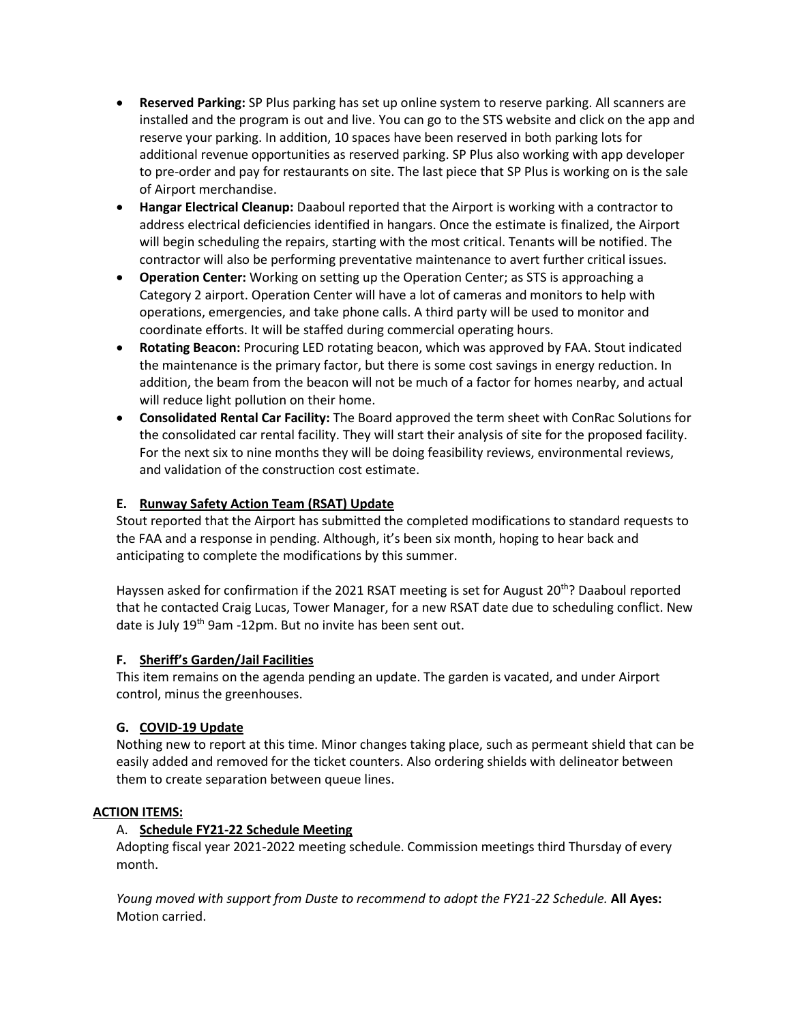- **Reserved Parking:** SP Plus parking has set up online system to reserve parking. All scanners are installed and the program is out and live. You can go to the STS website and click on the app and reserve your parking. In addition, 10 spaces have been reserved in both parking lots for additional revenue opportunities as reserved parking. SP Plus also working with app developer to pre-order and pay for restaurants on site. The last piece that SP Plus is working on is the sale of Airport merchandise.
- **Hangar Electrical Cleanup:** Daaboul reported that the Airport is working with a contractor to address electrical deficiencies identified in hangars. Once the estimate is finalized, the Airport will begin scheduling the repairs, starting with the most critical. Tenants will be notified. The contractor will also be performing preventative maintenance to avert further critical issues.
- **Operation Center:** Working on setting up the Operation Center; as STS is approaching a Category 2 airport. Operation Center will have a lot of cameras and monitors to help with operations, emergencies, and take phone calls. A third party will be used to monitor and coordinate efforts. It will be staffed during commercial operating hours.
- **Rotating Beacon:** Procuring LED rotating beacon, which was approved by FAA. Stout indicated the maintenance is the primary factor, but there is some cost savings in energy reduction. In addition, the beam from the beacon will not be much of a factor for homes nearby, and actual will reduce light pollution on their home.
- **Consolidated Rental Car Facility:** The Board approved the term sheet with ConRac Solutions for the consolidated car rental facility. They will start their analysis of site for the proposed facility. For the next six to nine months they will be doing feasibility reviews, environmental reviews, and validation of the construction cost estimate.

# **E. Runway Safety Action Team (RSAT) Update**

Stout reported that the Airport has submitted the completed modifications to standard requests to the FAA and a response in pending. Although, it's been six month, hoping to hear back and anticipating to complete the modifications by this summer.

Hayssen asked for confirmation if the 2021 RSAT meeting is set for August 20<sup>th</sup>? Daaboul reported that he contacted Craig Lucas, Tower Manager, for a new RSAT date due to scheduling conflict. New date is July 19<sup>th</sup> 9am -12pm. But no invite has been sent out.

## **F. Sheriff's Garden/Jail Facilities**

This item remains on the agenda pending an update. The garden is vacated, and under Airport control, minus the greenhouses.

## **G. COVID-19 Update**

Nothing new to report at this time. Minor changes taking place, such as permeant shield that can be easily added and removed for the ticket counters. Also ordering shields with delineator between them to create separation between queue lines.

## **ACTION ITEMS:**

## A. **Schedule FY21-22 Schedule Meeting**

Adopting fiscal year 2021-2022 meeting schedule. Commission meetings third Thursday of every month.

*Young moved with support from Duste to recommend to adopt the FY21-22 Schedule.* **All Ayes:** Motion carried.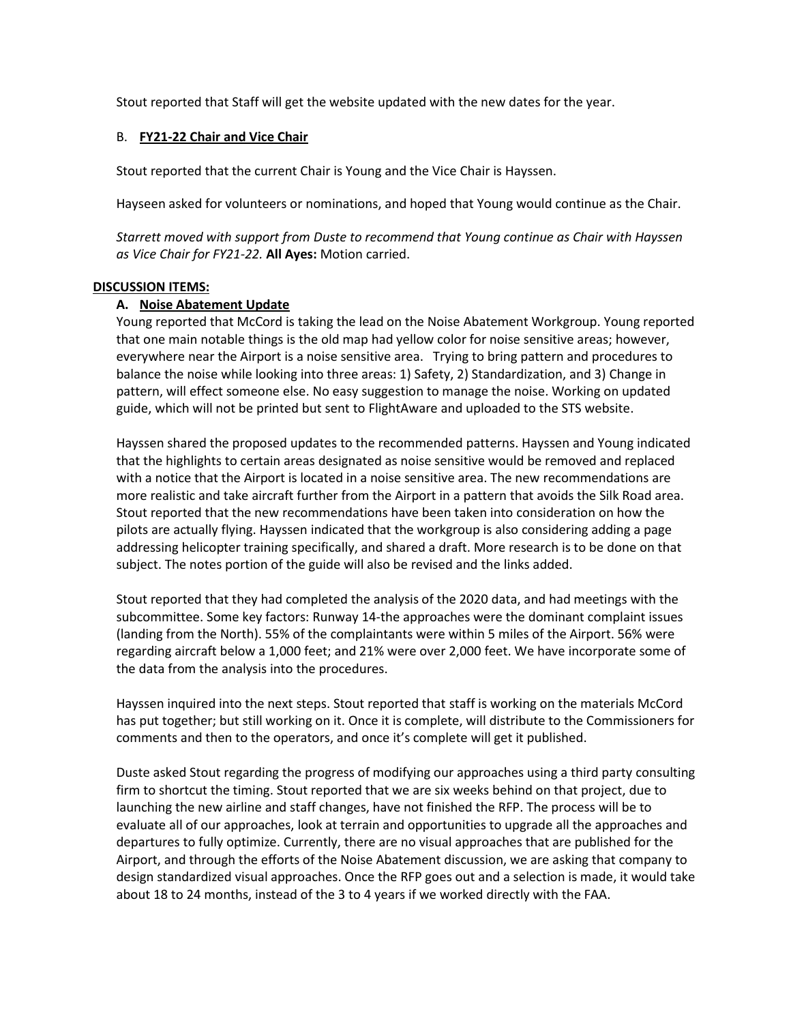Stout reported that Staff will get the website updated with the new dates for the year.

## B. **FY21-22 Chair and Vice Chair**

Stout reported that the current Chair is Young and the Vice Chair is Hayssen.

Hayseen asked for volunteers or nominations, and hoped that Young would continue as the Chair.

*Starrett moved with support from Duste to recommend that Young continue as Chair with Hayssen as Vice Chair for FY21-22.* **All Ayes:** Motion carried.

## **DISCUSSION ITEMS:**

## **A. Noise Abatement Update**

Young reported that McCord is taking the lead on the Noise Abatement Workgroup. Young reported that one main notable things is the old map had yellow color for noise sensitive areas; however, everywhere near the Airport is a noise sensitive area. Trying to bring pattern and procedures to balance the noise while looking into three areas: 1) Safety, 2) Standardization, and 3) Change in pattern, will effect someone else. No easy suggestion to manage the noise. Working on updated guide, which will not be printed but sent to FlightAware and uploaded to the STS website.

Hayssen shared the proposed updates to the recommended patterns. Hayssen and Young indicated that the highlights to certain areas designated as noise sensitive would be removed and replaced with a notice that the Airport is located in a noise sensitive area. The new recommendations are more realistic and take aircraft further from the Airport in a pattern that avoids the Silk Road area. Stout reported that the new recommendations have been taken into consideration on how the pilots are actually flying. Hayssen indicated that the workgroup is also considering adding a page addressing helicopter training specifically, and shared a draft. More research is to be done on that subject. The notes portion of the guide will also be revised and the links added.

Stout reported that they had completed the analysis of the 2020 data, and had meetings with the subcommittee. Some key factors: Runway 14-the approaches were the dominant complaint issues (landing from the North). 55% of the complaintants were within 5 miles of the Airport. 56% were regarding aircraft below a 1,000 feet; and 21% were over 2,000 feet. We have incorporate some of the data from the analysis into the procedures.

Hayssen inquired into the next steps. Stout reported that staff is working on the materials McCord has put together; but still working on it. Once it is complete, will distribute to the Commissioners for comments and then to the operators, and once it's complete will get it published.

Duste asked Stout regarding the progress of modifying our approaches using a third party consulting firm to shortcut the timing. Stout reported that we are six weeks behind on that project, due to launching the new airline and staff changes, have not finished the RFP. The process will be to evaluate all of our approaches, look at terrain and opportunities to upgrade all the approaches and departures to fully optimize. Currently, there are no visual approaches that are published for the Airport, and through the efforts of the Noise Abatement discussion, we are asking that company to design standardized visual approaches. Once the RFP goes out and a selection is made, it would take about 18 to 24 months, instead of the 3 to 4 years if we worked directly with the FAA.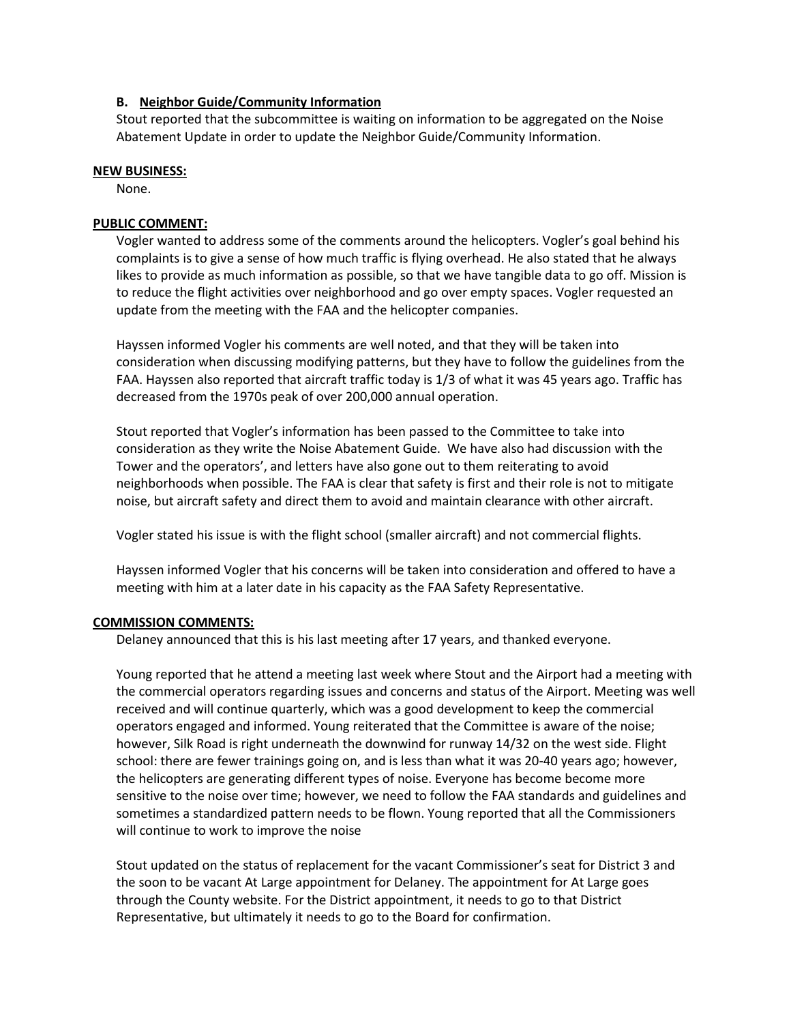## **B. Neighbor Guide/Community Information**

Stout reported that the subcommittee is waiting on information to be aggregated on the Noise Abatement Update in order to update the Neighbor Guide/Community Information.

#### **NEW BUSINESS:**

None.

## **PUBLIC COMMENT:**

Vogler wanted to address some of the comments around the helicopters. Vogler's goal behind his complaints is to give a sense of how much traffic is flying overhead. He also stated that he always likes to provide as much information as possible, so that we have tangible data to go off. Mission is to reduce the flight activities over neighborhood and go over empty spaces. Vogler requested an update from the meeting with the FAA and the helicopter companies.

Hayssen informed Vogler his comments are well noted, and that they will be taken into consideration when discussing modifying patterns, but they have to follow the guidelines from the FAA. Hayssen also reported that aircraft traffic today is 1/3 of what it was 45 years ago. Traffic has decreased from the 1970s peak of over 200,000 annual operation.

Stout reported that Vogler's information has been passed to the Committee to take into consideration as they write the Noise Abatement Guide. We have also had discussion with the Tower and the operators', and letters have also gone out to them reiterating to avoid neighborhoods when possible. The FAA is clear that safety is first and their role is not to mitigate noise, but aircraft safety and direct them to avoid and maintain clearance with other aircraft.

Vogler stated his issue is with the flight school (smaller aircraft) and not commercial flights.

Hayssen informed Vogler that his concerns will be taken into consideration and offered to have a meeting with him at a later date in his capacity as the FAA Safety Representative.

#### **COMMISSION COMMENTS:**

Delaney announced that this is his last meeting after 17 years, and thanked everyone.

Young reported that he attend a meeting last week where Stout and the Airport had a meeting with the commercial operators regarding issues and concerns and status of the Airport. Meeting was well received and will continue quarterly, which was a good development to keep the commercial operators engaged and informed. Young reiterated that the Committee is aware of the noise; however, Silk Road is right underneath the downwind for runway 14/32 on the west side. Flight school: there are fewer trainings going on, and is less than what it was 20-40 years ago; however, the helicopters are generating different types of noise. Everyone has become become more sensitive to the noise over time; however, we need to follow the FAA standards and guidelines and sometimes a standardized pattern needs to be flown. Young reported that all the Commissioners will continue to work to improve the noise

Stout updated on the status of replacement for the vacant Commissioner's seat for District 3 and the soon to be vacant At Large appointment for Delaney. The appointment for At Large goes through the County website. For the District appointment, it needs to go to that District Representative, but ultimately it needs to go to the Board for confirmation.